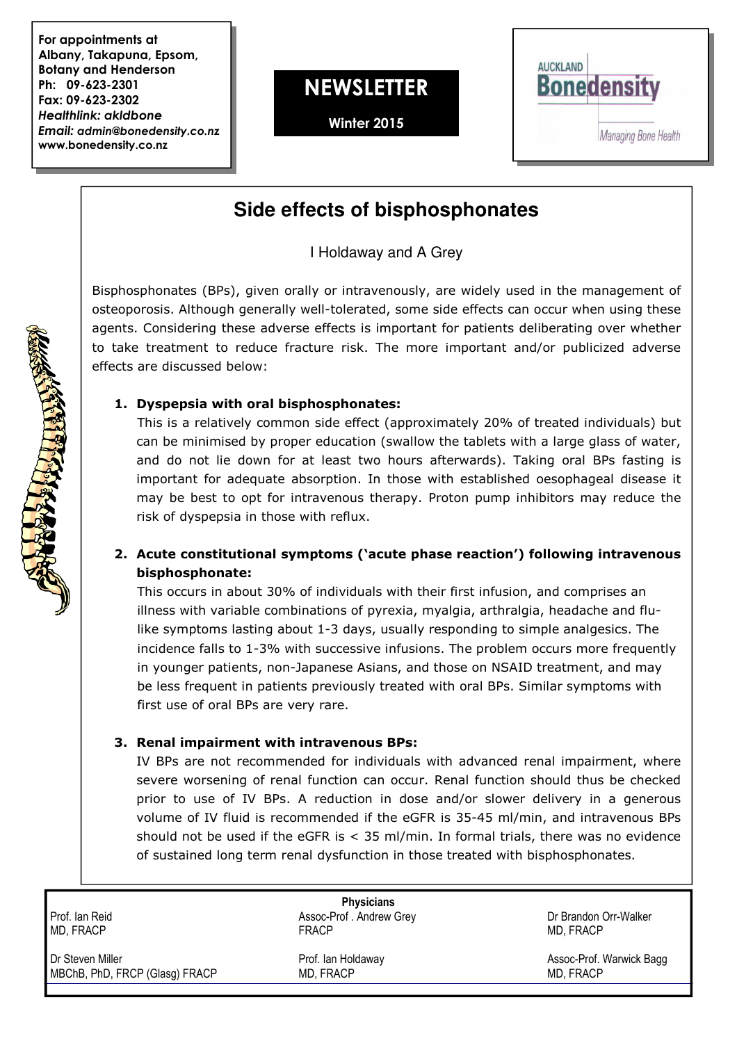For appointments at Albany, Takapuna, Epsom, Botany and Henderson Ph: 09-623-2301 Fax: 09-623-2302 Healthlink: akldbone Email: admin@bonedensity.co.nz www.bonedensity.co.nz

# **NEWSLETTER**

Winter 2015



# **Side effects of bisphosphonates**

I Holdaway and A Grey

Bisphosphonates (BPs), given orally or intravenously, are widely used in the management of osteoporosis. Although generally well-tolerated, some side effects can occur when using these agents. Considering these adverse effects is important for patients deliberating over whether to take treatment to reduce fracture risk. The more important and/or publicized adverse effects are discussed below:

## 1. Dyspepsia with oral bisphosphonates:

This is a relatively common side effect (approximately 20% of treated individuals) but can be minimised by proper education (swallow the tablets with a large glass of water, and do not lie down for at least two hours afterwards). Taking oral BPs fasting is important for adequate absorption. In those with established oesophageal disease it may be best to opt for intravenous therapy. Proton pump inhibitors may reduce the risk of dyspepsia in those with reflux.

## 2. Acute constitutional symptoms ('acute phase reaction') following intravenous bisphosphonate:

This occurs in about 30% of individuals with their first infusion, and comprises an illness with variable combinations of pyrexia, myalgia, arthralgia, headache and flulike symptoms lasting about 1-3 days, usually responding to simple analgesics. The incidence falls to 1-3% with successive infusions. The problem occurs more frequently in younger patients, non-Japanese Asians, and those on NSAID treatment, and may be less frequent in patients previously treated with oral BPs. Similar symptoms with first use of oral BPs are very rare.

## 3. Renal impairment with intravenous BPs:

 IV BPs are not recommended for individuals with advanced renal impairment, where severe worsening of renal function can occur. Renal function should thus be checked prior to use of IV BPs. A reduction in dose and/or slower delivery in a generous volume of IV fluid is recommended if the eGFR is 35-45 ml/min, and intravenous BPs should not be used if the eGFR is  $<$  35 ml/min. In formal trials, there was no evidence of sustained long term renal dysfunction in those treated with bisphosphonates.

**Physicians** Prof. Ian Reid **Assoc-Prof. Andrew Grey Assoc-Prof. Andrew Grey Assoc-Prof.** Andrew Grey **Dr Brandon Orr-Walker** MD, FRACP FRACP MD, FRACP Dr Steven Miller Prof. Ian Holdaway Assoc-Prof. Warwick Bagg MBChB, PhD, FRCP (Glasg) FRACP MD, FRACP MD, FRACP